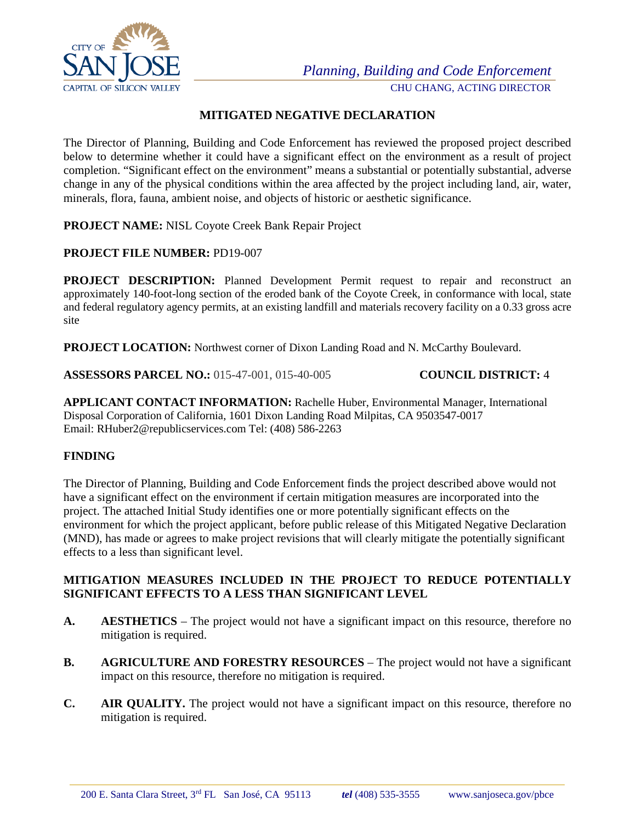

## **MITIGATED NEGATIVE DECLARATION**

The Director of Planning, Building and Code Enforcement has reviewed the proposed project described below to determine whether it could have a significant effect on the environment as a result of project completion. "Significant effect on the environment" means a substantial or potentially substantial, adverse change in any of the physical conditions within the area affected by the project including land, air, water, minerals, flora, fauna, ambient noise, and objects of historic or aesthetic significance.

**PROJECT NAME:** NISL Coyote Creek Bank Repair Project

### **PROJECT FILE NUMBER:** PD19-007

**PROJECT DESCRIPTION:** Planned Development Permit request to repair and reconstruct an approximately 140-foot-long section of the eroded bank of the Coyote Creek, in conformance with local, state and federal regulatory agency permits, at an existing landfill and materials recovery facility on a 0.33 gross acre site

**PROJECT LOCATION:** Northwest corner of Dixon Landing Road and N. McCarthy Boulevard.

**ASSESSORS PARCEL NO.:** 015-47-001, 015-40-005 **COUNCIL DISTRICT:** 4

**APPLICANT CONTACT INFORMATION:** Rachelle Huber, Environmental Manager, International Disposal Corporation of California, 1601 Dixon Landing Road Milpitas, CA 9503547-0017 Email: RHuber2@republicservices.com Tel: (408) 586-2263

### **FINDING**

The Director of Planning, Building and Code Enforcement finds the project described above would not have a significant effect on the environment if certain mitigation measures are incorporated into the project. The attached Initial Study identifies one or more potentially significant effects on the environment for which the project applicant, before public release of this Mitigated Negative Declaration (MND), has made or agrees to make project revisions that will clearly mitigate the potentially significant effects to a less than significant level.

## **MITIGATION MEASURES INCLUDED IN THE PROJECT TO REDUCE POTENTIALLY SIGNIFICANT EFFECTS TO A LESS THAN SIGNIFICANT LEVEL**

- **A. AESTHETICS**  The project would not have a significant impact on this resource, therefore no mitigation is required.
- **B. AGRICULTURE AND FORESTRY RESOURCES**  The project would not have a significant impact on this resource, therefore no mitigation is required.
- **C. AIR QUALITY.** The project would not have a significant impact on this resource, therefore no mitigation is required.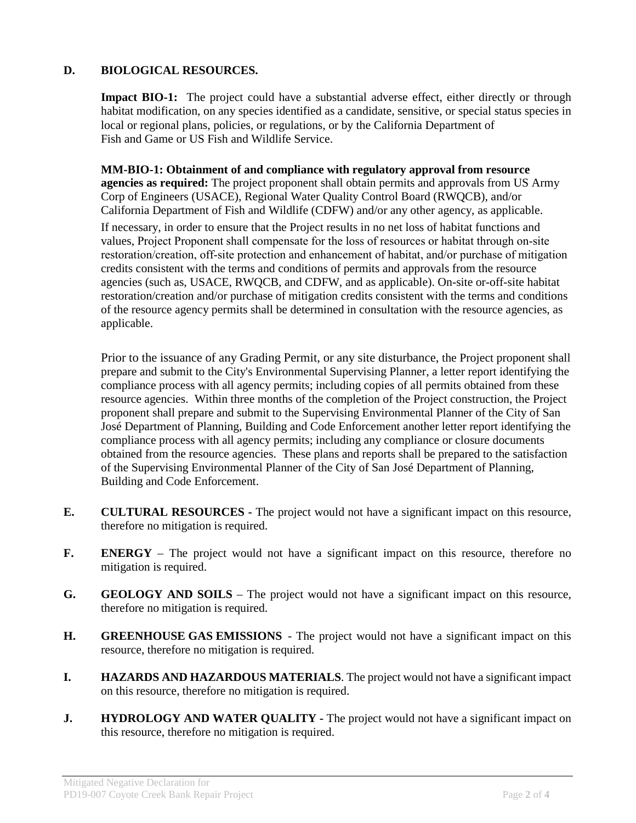# **D. BIOLOGICAL RESOURCES.**

**Impact BIO-1:** The project could have a substantial adverse effect, either directly or through habitat modification, on any species identified as a candidate, sensitive, or special status species in local or regional plans, policies, or regulations, or by the California Department of Fish and Game or US Fish and Wildlife Service.

#### **MM-BIO-1: Obtainment of and compliance with regulatory approval from resource**

**agencies as required:** The project proponent shall obtain permits and approvals from US Army Corp of Engineers (USACE), Regional Water Quality Control Board (RWQCB), and/or California Department of Fish and Wildlife (CDFW) and/or any other agency, as applicable.

If necessary, in order to ensure that the Project results in no net loss of habitat functions and values, Project Proponent shall compensate for the loss of resources or habitat through on‐site restoration/creation, off‐site protection and enhancement of habitat, and/or purchase of mitigation credits consistent with the terms and conditions of permits and approvals from the resource agencies (such as, USACE, RWQCB, and CDFW, and as applicable). On-site or-off-site habitat restoration/creation and/or purchase of mitigation credits consistent with the terms and conditions of the resource agency permits shall be determined in consultation with the resource agencies, as applicable.

Prior to the issuance of any Grading Permit, or any site disturbance, the Project proponent shall prepare and submit to the City's Environmental Supervising Planner, a letter report identifying the compliance process with all agency permits; including copies of all permits obtained from these resource agencies. Within three months of the completion of the Project construction, the Project proponent shall prepare and submit to the Supervising Environmental Planner of the City of San José Department of Planning, Building and Code Enforcement another letter report identifying the compliance process with all agency permits; including any compliance or closure documents obtained from the resource agencies. These plans and reports shall be prepared to the satisfaction of the Supervising Environmental Planner of the City of San José Department of Planning, Building and Code Enforcement.

- **E. CULTURAL RESOURCES -** The project would not have a significant impact on this resource, therefore no mitigation is required.
- **F. ENERGY** The project would not have a significant impact on this resource, therefore no mitigation is required.
- **G. GEOLOGY AND SOILS**  The project would not have a significant impact on this resource, therefore no mitigation is required.
- **H. GREENHOUSE GAS EMISSIONS** The project would not have a significant impact on this resource, therefore no mitigation is required.
- **I. HAZARDS AND HAZARDOUS MATERIALS**. The project would not have a significant impact on this resource, therefore no mitigation is required.
- **J. HYDROLOGY AND WATER QUALITY** The project would not have a significant impact on this resource, therefore no mitigation is required.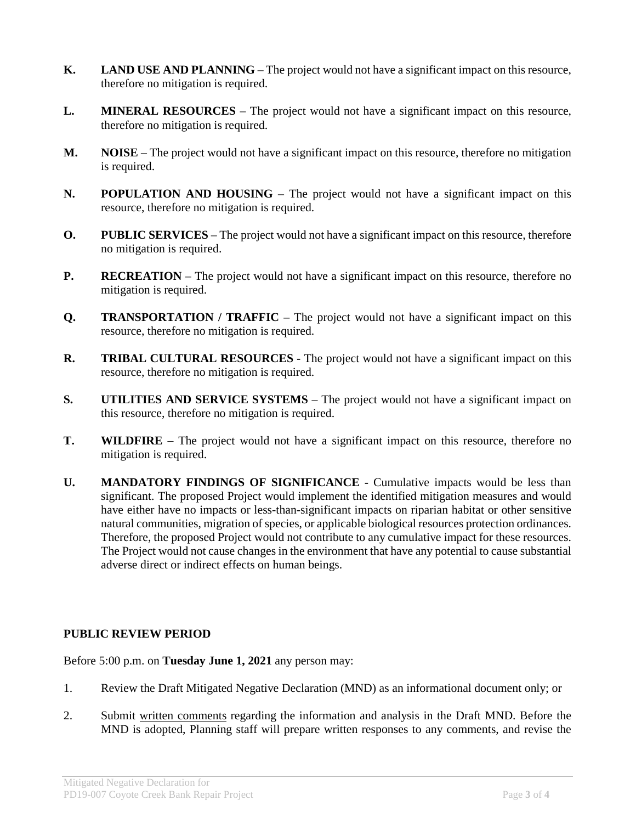- **K. LAND USE AND PLANNING**  The project would not have a significant impact on this resource, therefore no mitigation is required.
- **L. MINERAL RESOURCES**  The project would not have a significant impact on this resource, therefore no mitigation is required.
- **M. NOISE** The project would not have a significant impact on this resource, therefore no mitigation is required.
- **N. POPULATION AND HOUSING** The project would not have a significant impact on this resource, therefore no mitigation is required.
- **O. PUBLIC SERVICES** The project would not have a significant impact on this resource, therefore no mitigation is required.
- **P. RECREATION** The project would not have a significant impact on this resource, therefore no mitigation is required.
- **Q. TRANSPORTATION / TRAFFIC**  The project would not have a significant impact on this resource, therefore no mitigation is required.
- **R. TRIBAL CULTURAL RESOURCES -** The project would not have a significant impact on this resource, therefore no mitigation is required.
- **S. UTILITIES AND SERVICE SYSTEMS** The project would not have a significant impact on this resource, therefore no mitigation is required.
- **T.** WILDFIRE The project would not have a significant impact on this resource, therefore no mitigation is required.
- **U. MANDATORY FINDINGS OF SIGNIFICANCE -** Cumulative impacts would be less than significant. The proposed Project would implement the identified mitigation measures and would have either have no impacts or less-than-significant impacts on riparian habitat or other sensitive natural communities, migration of species, or applicable biological resources protection ordinances. Therefore, the proposed Project would not contribute to any cumulative impact for these resources. The Project would not cause changes in the environment that have any potential to cause substantial adverse direct or indirect effects on human beings.

# **PUBLIC REVIEW PERIOD**

Before 5:00 p.m. on **Tuesday June 1, 2021** any person may:

- 1. Review the Draft Mitigated Negative Declaration (MND) as an informational document only; or
- 2. Submit written comments regarding the information and analysis in the Draft MND. Before the MND is adopted, Planning staff will prepare written responses to any comments, and revise the